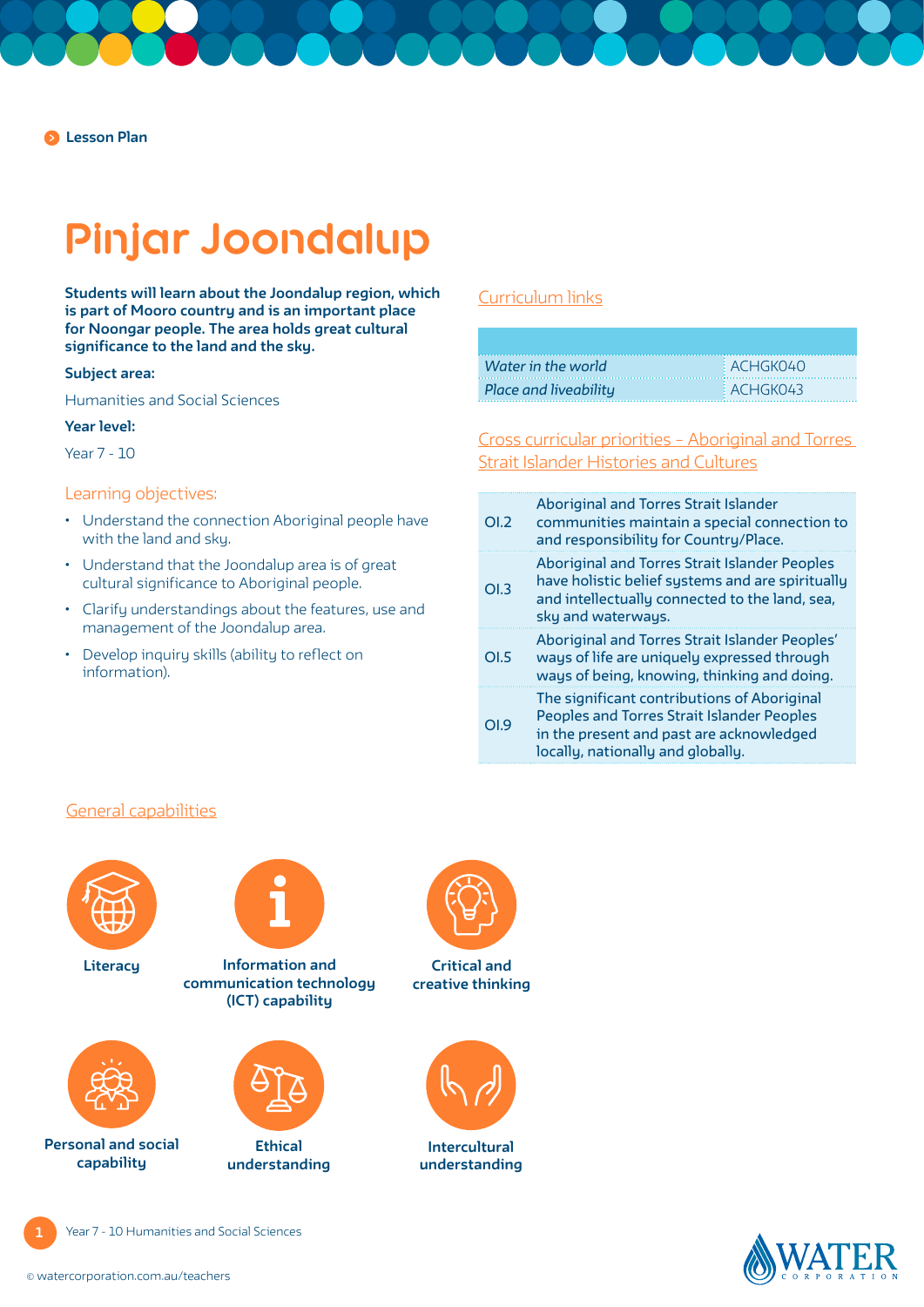# **Pinjar Joondalup**

**Students will learn about the Joondalup region, which is part of Mooro country and is an important place for Noongar people. The area holds great cultural significance to the land and the sky.** 

#### **Subject area:**

Humanities and Social Sciences

### **Year level:**

Year 7 - 10

### Learning objectives:

- Understand the connection Aboriginal people have with the land and sky.
- Understand that the Joondalup area is of great cultural significance to Aboriginal people.
- Clarify understandings about the features, use and management of the Joondalup area.
- Develop inquiry skills (ability to reflect on information).

### [Curriculum links](https://k10outline.scsa.wa.edu.au/home/teaching/curriculum-browser/humanities-and-social-sciences)

| Water in the world    | EACHGK040  |
|-----------------------|------------|
| Place and liveability | ACH G K043 |

[Cross curricular priorities – Aboriginal and Torres](https://www.australiancurriculum.edu.au/f-10-curriculum/cross-curriculum-priorities/aboriginal-and-torres-strait-islander-histories-and-cultures/)  [Strait Islander Histories and Cultures](https://www.australiancurriculum.edu.au/f-10-curriculum/cross-curriculum-priorities/aboriginal-and-torres-strait-islander-histories-and-cultures/)

| OI.2 | <b>Aboriginal and Torres Strait Islander</b><br>communities maintain a special connection to<br>and responsibility for Country/Place.                                             |
|------|-----------------------------------------------------------------------------------------------------------------------------------------------------------------------------------|
| OL3  | <b>Aboriginal and Torres Strait Islander Peoples</b><br>have holistic belief systems and are spiritually<br>and intellectually connected to the land, sea,<br>sky and waterways.  |
| OLS  | Aboriginal and Torres Strait Islander Peoples'<br>ways of life are uniquely expressed through<br>ways of being, knowing, thinking and doing.                                      |
| O1.9 | The significant contributions of Aboriginal<br><b>Peoples and Torres Strait Islander Peoples</b><br>in the present and past are acknowledged<br>locally, nationally and globally. |

### [General capabilities](https://k10outline.scsa.wa.edu.au/home/teaching/general-capabilities-over/general-capabilities-overview/general-capabilities-in-the-australian-curriculum)



**Literacy**

**Personal and social capability**



**communication technology (ICT) capability**



**Ethical understanding**



**Critical and creative thinking**



**Intercultural understanding**

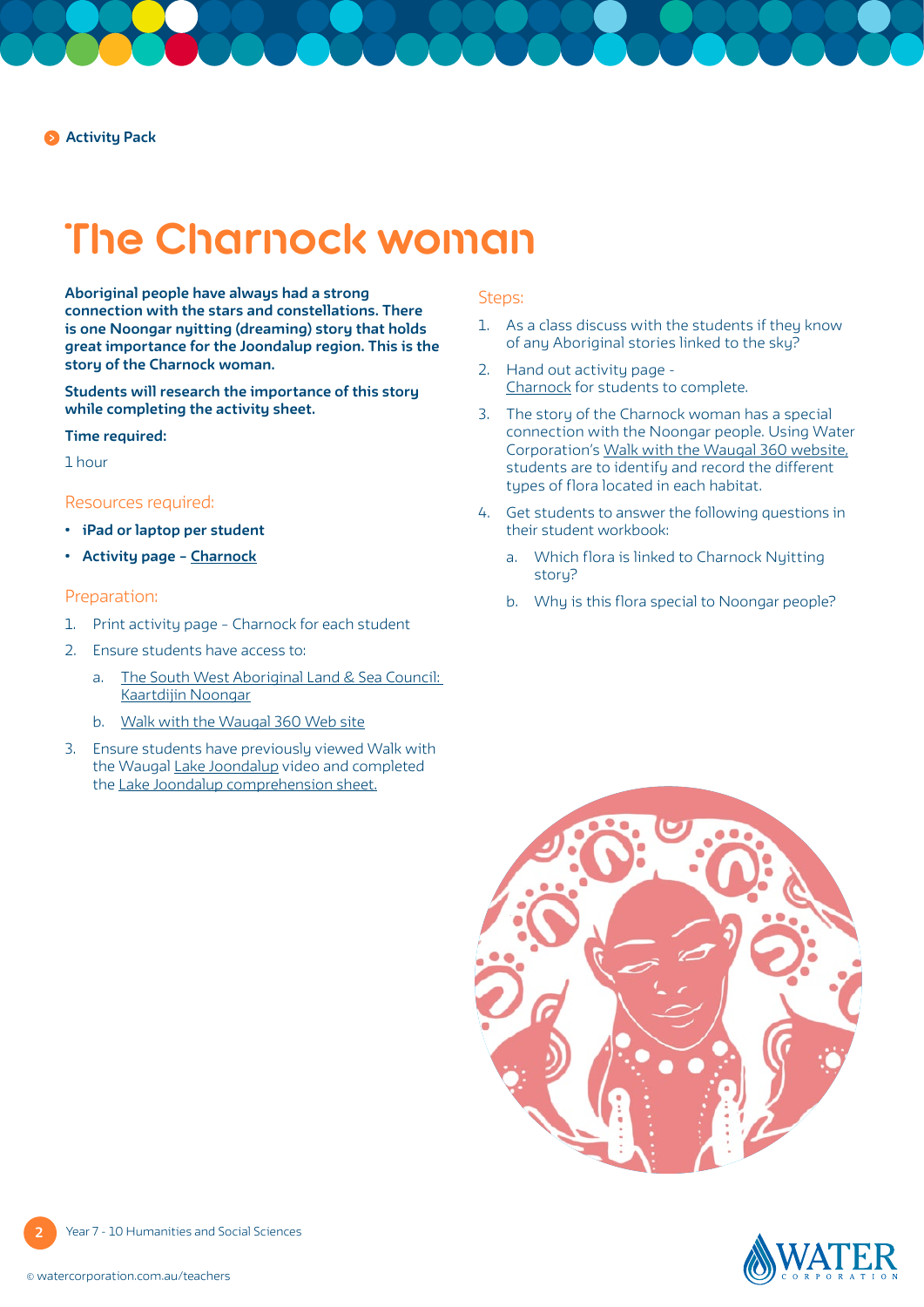## **The Charnock woman**

**Aboriginal people have always had a strong connection with the stars and constellations. There is one Noongar nyitting (dreaming) story that holds great importance for the Joondalup region. This is the story of the Charnock woman.**

**Students will research the importance of this story while completing the activity sheet.** 

### **Time required:**

1 hour

### Resources required:

- **• iPad or laptop per student**
- **• Activity page [Charnock](#page-4-0)**

### Preparation:

- 1. Print activity page [Charnock](#page-4-0) for each student
- 2. Ensure students have access to:
	- a. [The South West Aboriginal Land & Sea Council:](https://www.noongarculture.org.au/spirituality/)  [Kaartdijin Noongar](https://www.noongarculture.org.au/spirituality/)
	- b. [Walk with the Waugal 360 Web site](https://www.walkwiththewaugal.com.au/index.html)
- 3. Ensure students have previously viewed Walk with the Waugal [Lake Joondalup](https://www.watercorporation.com.au/Education/Water-in-Aboriginal-culture/Walk-with-the-Waugal-videos) video and completed the [Lake Joondalup comprehension sheet.](https://pw-cdn.watercorporation.com.au/-/media/WaterCorp/Documents/Education/Water-in-Aboriginal-culture/Comprehension-sheets/Lake-Joondalup---WIAC.pdf?rev=4aaed4d9fd8d425ba9b0e7edea1c040d)

### Steps:

- 1. As a class discuss with the students if they know of any Aboriginal stories linked to the sky?
- 2. Hand out activity page [Charnock for students to complete.](#page-4-0)
- 3. The story of the Charnock woman has a special connection with the Noongar people. Using Water Corporation's [Walk with the Waugal 360 website,](https://www.walkwiththewaugal.com.au/index.html) students are to identify and record the different types of flora located in each habitat.
- 4. Get students to answer the following questions in their student workbook:
	- a. Which flora is linked to Charnock Nyitting storu?
	- b. Why is this flora special to Noongar people?





**2** Year 7 - 10 Humanities and Social Sciences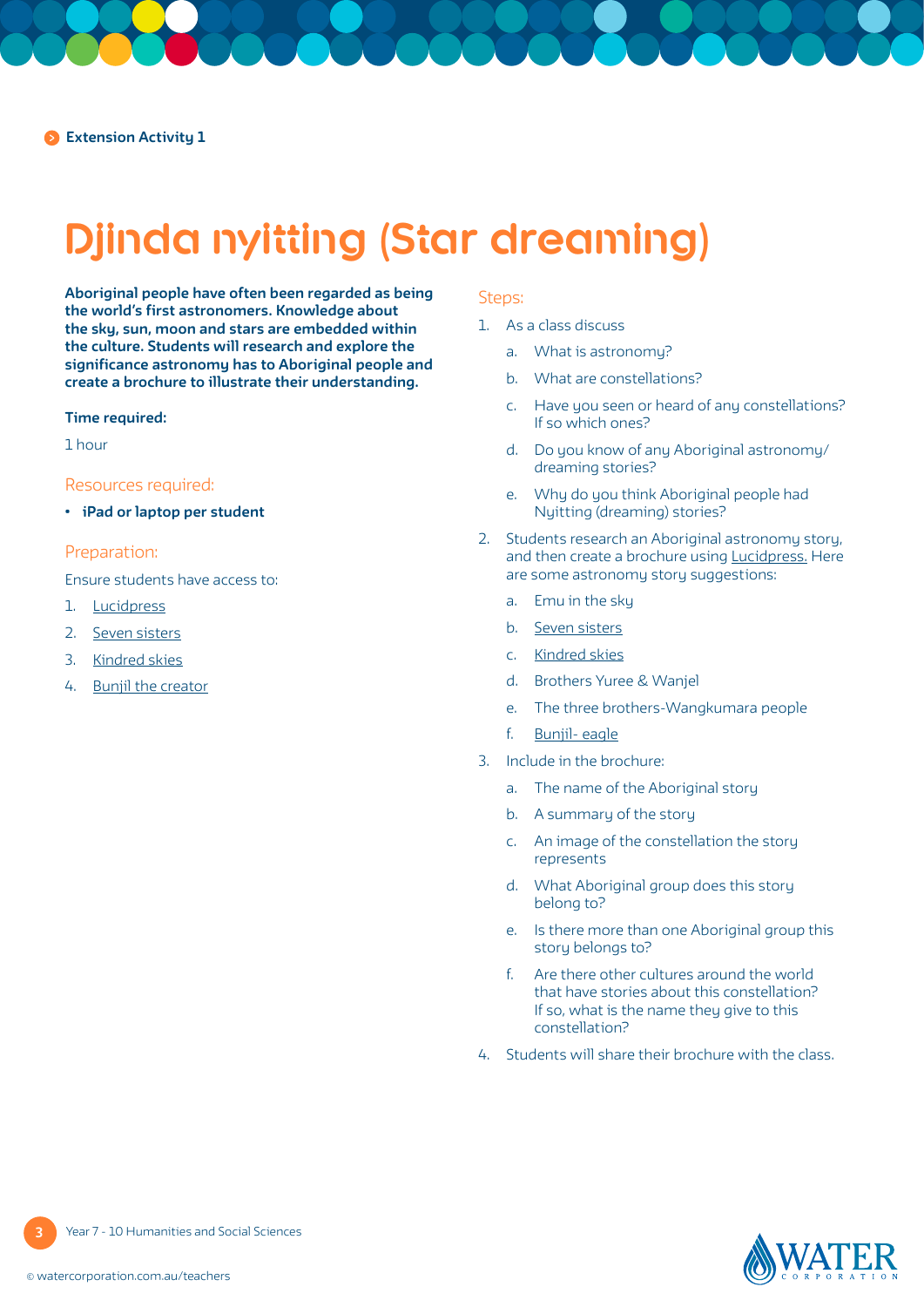# **Djinda nyitting (Star dreaming)**

**Aboriginal people have often been regarded as being the world's first astronomers. Knowledge about the sky, sun, moon and stars are embedded within the culture. Students will research and explore the significance astronomy has to Aboriginal people and create a brochure to illustrate their understanding.**

### **Time required:**

1 hour

### Resources required:

**• iPad or laptop per student**

### Preparation:

Ensure students have access to:

- 1. [Lucidpress](https://www.lucidpress.com/pages/examples/free-brochure-maker-online)
- 2. [Seven sisters](http://www.personally-selected-aboriginal-art.com/seven-sisters.html)
- 3. [Kindred skies](https://www.sbs.com.au/nitv/nitv-news/article/2017/04/10/kindred-skies-ancient-greeks-and-aboriginal-australians-saw-constellations-common)
- 4. [Bunjil the creator](https://www.bendigosds.vic.edu.au/uploaded_files/media/bunjil_the_creator.pdf)

### Steps:

- 1. As a class discuss
	- a. What is astronomy?
	- b. What are constellations?
	- c. Have you seen or heard of any constellations? If so which ones?
	- d. Do you know of any Aboriginal astronomy/ dreaming stories?
	- e. Why do you think Aboriginal people had Nyitting (dreaming) stories?
- 2. Students research an Aboriginal astronomy story, and then create a brochure using [Lucidpress.](https://www.lucidpress.com/pages/examples/free-brochure-maker-online) Here are some astronomy story suggestions:
	- a. Emu in the sky
	- b. [Seven sisters](http://www.personally-selected-aboriginal-art.com/seven-sisters.html)
	- c. [Kindred skies](https://www.sbs.com.au/nitv/nitv-news/article/2017/04/10/kindred-skies-ancient-greeks-and-aboriginal-australians-saw-constellations-common)
	- d. Brothers Yuree & Wanjel
	- e. The three brothers-Wangkumara people
	- f. [Bunjil-](https://www.bendigosds.vic.edu.au/uploaded_files/media/bunjil_the_creator.pdf) eagle
- 3. Include in the brochure:
	- a. The name of the Aboriginal story
	- b. A summary of the story
	- c. An image of the constellation the story represents
	- d. What Aboriginal group does this story belong to?
	- e. Is there more than one Aboriginal group this story belongs to?
	- f. Are there other cultures around the world that have stories about this constellation? If so, what is the name they give to this constellation?
- 4. Students will share their brochure with the class.

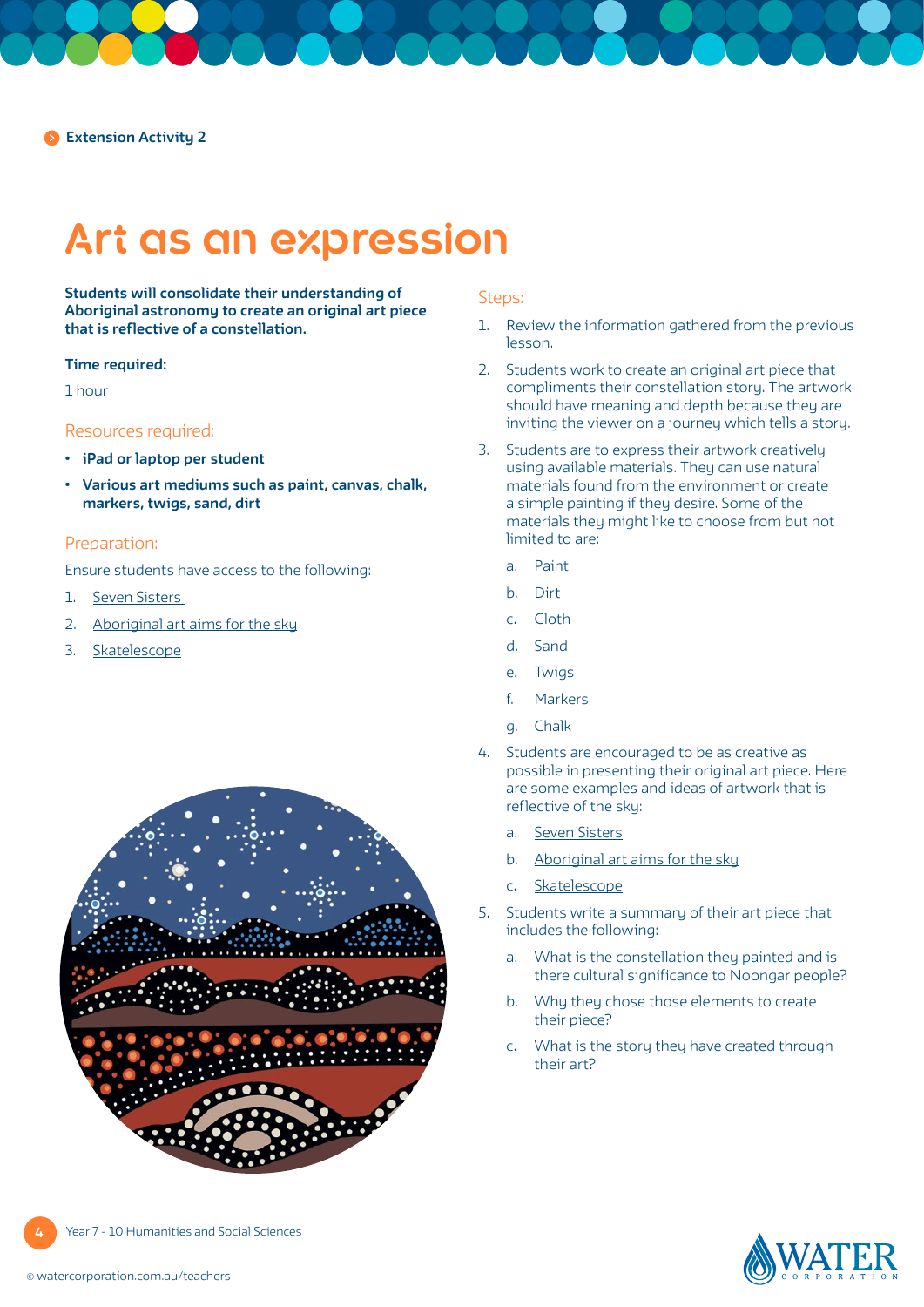## **Art as an expression**

**Students will consolidate their understanding of Aboriginal astronomy to create an original art piece that is reflective of a constellation.**

#### **Time required:**

1 hour

### Resources required:

- **• iPad or laptop per student**
- **• Various art mediums such as paint, canvas, chalk, markers, twigs, sand, dirt**

### Preparation:

Ensure students have access to the following:

- 1. [Seven Sisters](https://japingkaaboriginalart.com/articles/star-dreaming-seven-sisters/)
- 2. [Aboriginal art aims fo](https://www.australiangeographic.com.au/topics/history-culture/2014/11/aboriginal-art-aims-for-the-sky/)r the sky
- 3. [Skatelescope](https://www.skatelescope.org/shared-sky/virtual-gallery/)



### Steps:

- 1. Review the information gathered from the previous lesson.
- 2. Students work to create an original art piece that compliments their constellation story. The artwork should have meaning and depth because they are inviting the viewer on a journey which tells a story.
- 3. Students are to express their artwork creatively using available materials. They can use natural materials found from the environment or create a simple painting if they desire. Some of the materials they might like to choose from but not limited to are:
	- a. Paint
	- b. Dirt
	- c. Cloth
	- d. Sand
	- e. Twigs
	- f. Markers
	- g. Chalk
- 4. Students are encouraged to be as creative as possible in presenting their original art piece. Here are some examples and ideas of artwork that is reflective of the sky:
	- a. [Seven Sisters](https://japingkaaboriginalart.com/articles/star-dreaming-seven-sisters/)
	- b. [Aboriginal art aims for the sky](https://www.australiangeographic.com.au/topics/history-culture/2014/11/aboriginal-art-aims-for-the-sky/
)
	- c. [Skatelescope](https://www.skatelescope.org/shared-sky/virtual-gallery/)
- 5. Students write a summary of their art piece that includes the following:
	- a. What is the constellation they painted and is there cultural significance to Noongar people?
	- b. Why they chose those elements to create their piece?
	- c. What is the story they have created through their art?

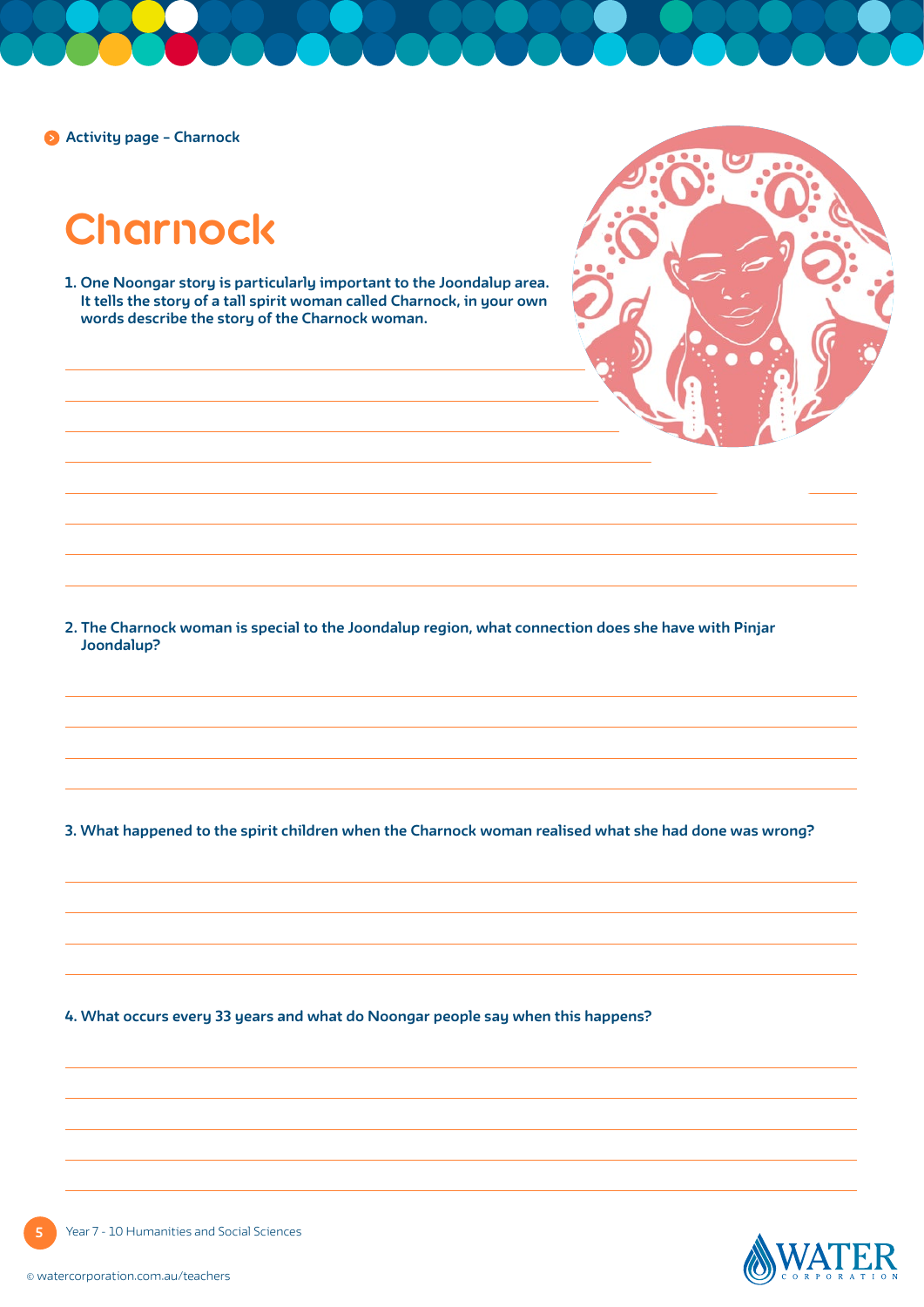<span id="page-4-0"></span>**Activity page – Charnock** 

**Charnock**

**1. One Noongar story is particularly important to the Joondalup area. It tells the story of a tall spirit woman called Charnock, in your own words describe the story of the Charnock woman.**



**2. The Charnock woman is special to the Joondalup region, what connection does she have with Pinjar Joondalup?**

**3. What happened to the spirit children when the Charnock woman realised what she had done was wrong?**

**4. What occurs every 33 years and what do Noongar people say when this happens?**



Year 7 - 10 Humanities and Social Sciences